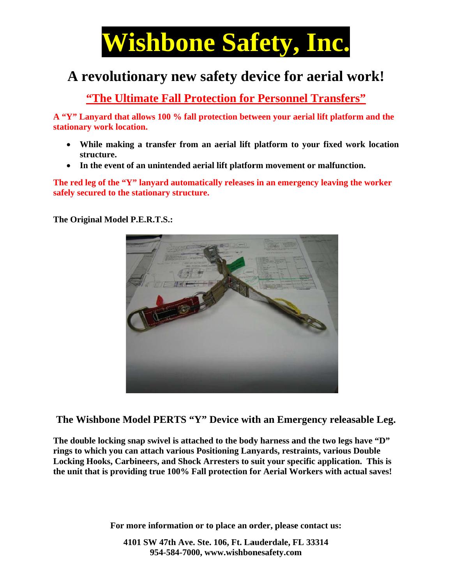

## A revolutionary new safety device for aerial work!

"The Ultimate Fall Protection for Personnel Transfers"

A "Y" Lanyard that allows 100 % fall protection between your aerial lift platform and the stationary work location.

- While making a transfer from an aerial lift platform to your fixed work location structure.
- In the event of an unintended aerial lift platform movement or malfunction.

The red leg of the "Y" lanyard automatically releases in an emergency leaving the worker safely secured to the stationary structure.

The Original Model P.E.R.T.S.:



The Wishbone Model PERTS "Y" Device with an Emergency releasable Leg.

The double locking snap swivel is attached to the body harness and the two legs have "D" rings to which you can attach various Positioning Lanyards, restraints, various Double Locking Hooks, Carbineers, and Shock Arresters to suit your specific application. This is the unit that is providing true 100% Fall protection for Aerial Workers with actual saves!

For more information or to place an order, please contact us:

4101 SW 47th Ave. Ste. 106, Ft. Lauderdale, FL 33314 954-584-7000, www.wishbonesafety.com